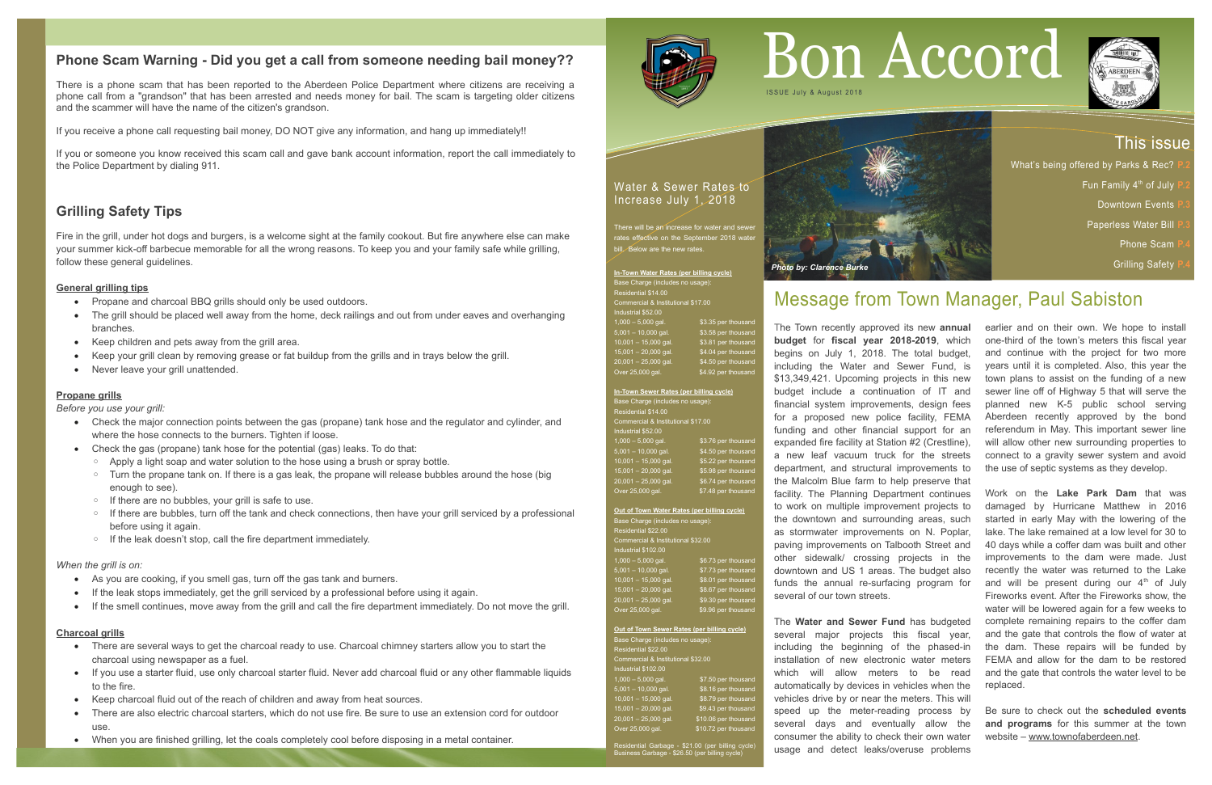# **Phone Scam Warning - Did you get a call from someone needing bail money??**

There is a phone scam that has been reported to the Aberdeen Police Department where citizens are receiving a phone call from a "grandson" that has been arrested and needs money for bail. The scam is targeting older citizens and the scammer will have the name of the citizen's grandson.

If you receive a phone call requesting bail money, DO NOT give any information, and hang up immediately!!

- Propane and charcoal BBQ grills should only be used outdoors.
- The grill should be placed well away from the home, deck railings and out from under eaves and overhanging branches.
- Keep children and pets away from the grill area.
- Keep your grill clean by removing grease or fat buildup from the grills and in trays below the grill.
- Never leave your grill unattended.

If you or someone you know received this scam call and gave bank account information, report the call immediately to the Police Department by dialing 911.

# **Grilling Safety Tips**

Fire in the grill, under hot dogs and burgers, is a welcome sight at the family cookout. But fire anywhere else can make your summer kick-off barbecue memorable for all the wrong reasons. To keep you and your family safe while grilling, follow these general guidelines.

## **General grilling tips**

## **Propane grills**

*Before you use your grill:*

There will be an increase for water and sewer rates effective on the September 2018 water bill. Below are the new rates.

**In-Town Water Rates (per billing cycle)** Base Charge (includes no usage): Residential \$14.00 Commercial & Institutional \$17.00 . . . . . . . . . . . . . . . . .<br>ndustrial \$52.00  $1,000 - 5,000$  gal.  $$3.35$  per thousand  $\sqrt{5,001} - 10,000$  gal.  $\sqrt{$3.58$}$  per thousand 10,001 - 15,000 gal. \$3.81 per thousand 15,001 – 20,000 gal. \$4.04 per thousand  $20,001 - 25,000$  gal.  $$4.50$  per thousand  $\overline{\text{Over 25,000}}$  gal.  $\overline{\text{S4.92}}$  per thousand

- Check the major connection points between the gas (propane) tank hose and the regulator and cylinder, and where the hose connects to the burners. Tighten if loose.
- Check the gas (propane) tank hose for the potential (gas) leaks. To do that:
	- Apply a light soap and water solution to the hose using a brush or spray bottle.
	- Turn the propane tank on. If there is a gas leak, the propane will release bubbles around the hose (big enough to see).
	- If there are no bubbles, your grill is safe to use.
	- If there are bubbles, turn off the tank and check connections, then have your grill serviced by a professional before using it again.
	- If the leak doesn't stop, call the fire department immediately.

#### *When the grill is on:*

**Out of Town Sewer Rates (per billing cycle)** Base Charge (includes no usage):  $s$ idential  $$22.00$ Commercial & Institutional \$32.00 Industrial \$102.00  $1,000 - 5,000$  gal.  $37.50$  per thous  $5,001 - 10,000$  gal. \$8.16 per thousand 10,001 – 15,000 gal. \$8.79 per thousand  $15,001 - 20,000$  gal.  $$9.43$  per thousand 20,001 - 25,000 gal. \$10.06 per thousand Over 25,000 gal. \$10.72 per thousar

- As you are cooking, if you smell gas, turn off the gas tank and burners.
- If the leak stops immediately, get the grill serviced by a professional before using it again.
- If the smell continues, move away from the grill and call the fire department immediately. Do not move the grill.

### **Charcoal grills**

- There are several ways to get the charcoal ready to use. Charcoal chimney starters allow you to start the charcoal using newspaper as a fuel.
- If you use a starter fluid, use only charcoal starter fluid. Never add charcoal fluid or any other flammable liquids to the fire.
- Keep charcoal fluid out of the reach of children and away from heat sources.
- There are also electric charcoal starters, which do not use fire. Be sure to use an extension cord for outdoor use.
- When you are finished grilling, let the coals completely cool before disposing in a metal container.



## Water & Sewer Rates to Increase July 1, 2018

**In-Town Sewer Rates (per billing cycle)** Base Charge (includes no usage Residential \$14.00 Commercial & Institutional \$17.00 ndustrial \$52.00  $1,000 - 5,000$  gal.  $$3.76$  per thousa 5,001 – 10,000 gal. \$4.50 per thousand  $10,001 - 15,000$  gal.  $$5.22$  per thousand 15,001 – 20,000 gal. \$5.98 per thousand 20,001 – 25,000 gal. \$6.74 per thousand Over 25,000 gal. \$7.48 per thousand

**Out of Town Water Rates (per billing cycle)** Base Charge (includes no usage): Residential \$22.00  $n$ mercial & Institutional \$32.00 ndustrial \$102.00 \$6.73 per thous 5,001 – 10,000 gal. \$7.73 per thousand 10,001 - 15,000 gal. \$8.01 per thousand 15,001 – 20,000 gal. \$8.67 per thousand 20,001 – 25,000 gal. \$9.30 per thousand Over 25,000 gal. \$9.96 per thousand

Residential Garbage - \$21.00 (per billing cycle) Business Garbage - \$26.50 (per billing cycle)

# Message from Town Manager, Paul Sabiston

# This issue

- What's being offered by Parks & Rec?
	- Fun Family 4 th of July **P.2**
		- **Downtown Events**
		- **Paperless Water Bill** 
			- Phone Scam
			- **Grilling Safety**



*Photo by: Clarence Burke*

The Town recently approved its new **annual budget** for **fiscal year 2018-2019**, which begins on July 1, 2018. The total budget, including the Water and Sewer Fund, is \$13,349,421. Upcoming projects in this new budget include a continuation of IT and financial system improvements, design fees for a proposed new police facility, FEMA funding and other financial support for an expanded fire facility at Station #2 (Crestline), a new leaf vacuum truck for the streets department, and structural improvements to the Malcolm Blue farm to help preserve that facility. The Planning Department continues to work on multiple improvement projects to the downtown and surrounding areas, such as stormwater improvements on N. Poplar, paving improvements on Talbooth Street and other sidewalk/ crossing projects in the downtown and US 1 areas. The budget also funds the annual re-surfacing program for several of our town streets.

The **Water and Sewer Fund** has budgeted

several major projects this fiscal year, including the beginning of the phased-in installation of new electronic water meters which will allow meters to be read automatically by devices in vehicles when the vehicles drive by or near the meters. This will speed up the meter-reading process by several days and eventually allow the consumer the ability to check their own water usage and detect leaks/overuse problems

# Bon Accord



earlier and on their own. We hope to install one-third of the town's meters this fiscal year and continue with the project for two more years until it is completed. Also, this year the town plans to assist on the funding of a new sewer line off of Highway 5 that will serve the planned new K-5 public school serving Aberdeen recently approved by the bond referendum in May. This important sewer line will allow other new surrounding properties to connect to a gravity sewer system and avoid the use of septic systems as they develop.

Work on the **Lake Park Dam** that was damaged by Hurricane Matthew in 2016 started in early May with the lowering of the lake. The lake remained at a low level for 30 to 40 days while a coffer dam was built and other improvements to the dam were made. Just recently the water was returned to the Lake and will be present during our  $4<sup>th</sup>$  of July Fireworks event. After the Fireworks show, the water will be lowered again for a few weeks to complete remaining repairs to the coffer dam and the gate that controls the flow of water at the dam. These repairs will be funded by FEMA and allow for the dam to be restored and the gate that controls the water level to be replaced.

Be sure to check out the **scheduled events and programs** for this summer at the town website – [www.townofaberdeen.net.](http://www.townofaberdeen.net/)